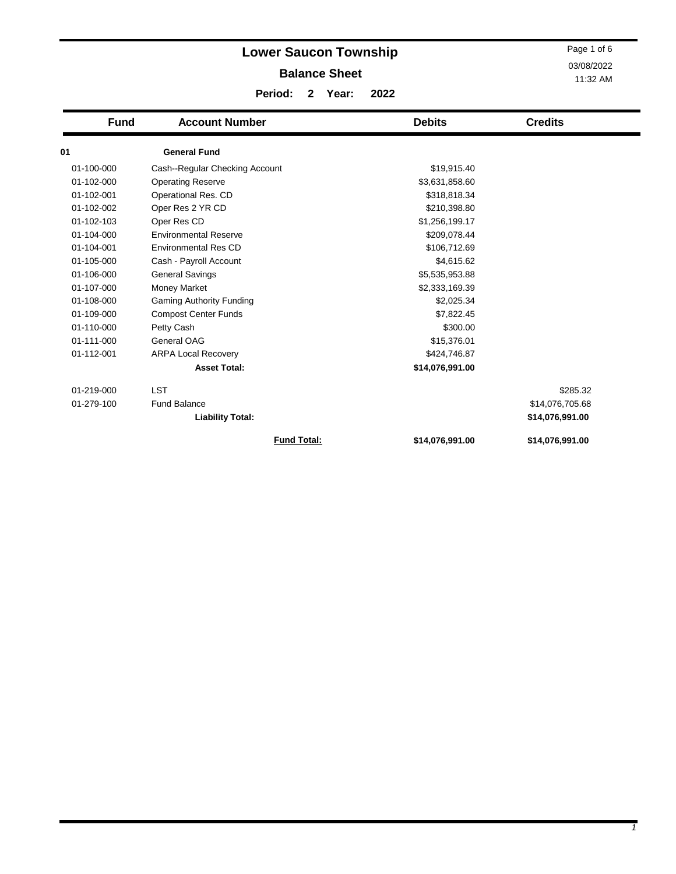|             | <b>Lower Saucon Township</b>    |                      |       |      |                 | Page 1 of 6     |
|-------------|---------------------------------|----------------------|-------|------|-----------------|-----------------|
|             | 03/08/2022                      |                      |       |      |                 |                 |
|             |                                 | <b>Balance Sheet</b> |       |      | 11:32 AM        |                 |
|             | Period:                         | $\mathbf{2}$         | Year: | 2022 |                 |                 |
| <b>Fund</b> | <b>Account Number</b>           |                      |       |      | <b>Debits</b>   | <b>Credits</b>  |
| 01          | <b>General Fund</b>             |                      |       |      |                 |                 |
| 01-100-000  | Cash--Regular Checking Account  |                      |       |      | \$19,915.40     |                 |
| 01-102-000  | <b>Operating Reserve</b>        |                      |       |      | \$3,631,858.60  |                 |
| 01-102-001  | Operational Res. CD             |                      |       |      | \$318,818.34    |                 |
| 01-102-002  | Oper Res 2 YR CD                |                      |       |      | \$210,398.80    |                 |
| 01-102-103  | Oper Res CD                     |                      |       |      | \$1,256,199.17  |                 |
| 01-104-000  | <b>Environmental Reserve</b>    |                      |       |      | \$209,078.44    |                 |
| 01-104-001  | <b>Environmental Res CD</b>     |                      |       |      | \$106,712.69    |                 |
| 01-105-000  | Cash - Payroll Account          |                      |       |      | \$4,615.62      |                 |
| 01-106-000  | <b>General Savings</b>          |                      |       |      | \$5,535,953.88  |                 |
| 01-107-000  | <b>Money Market</b>             |                      |       |      | \$2,333,169.39  |                 |
| 01-108-000  | <b>Gaming Authority Funding</b> |                      |       |      | \$2,025.34      |                 |
| 01-109-000  | <b>Compost Center Funds</b>     |                      |       |      | \$7,822.45      |                 |
| 01-110-000  | Petty Cash                      |                      |       |      | \$300.00        |                 |
| 01-111-000  | General OAG                     |                      |       |      | \$15,376.01     |                 |
| 01-112-001  | <b>ARPA Local Recovery</b>      |                      |       |      | \$424,746.87    |                 |
|             | <b>Asset Total:</b>             |                      |       |      | \$14,076,991.00 |                 |
| 01-219-000  | <b>LST</b>                      |                      |       |      |                 | \$285.32        |
| 01-279-100  | <b>Fund Balance</b>             |                      |       |      |                 | \$14,076,705.68 |
|             | <b>Liability Total:</b>         |                      |       |      |                 | \$14,076,991.00 |
|             |                                 | <b>Fund Total:</b>   |       |      | \$14,076,991.00 | \$14,076,991.00 |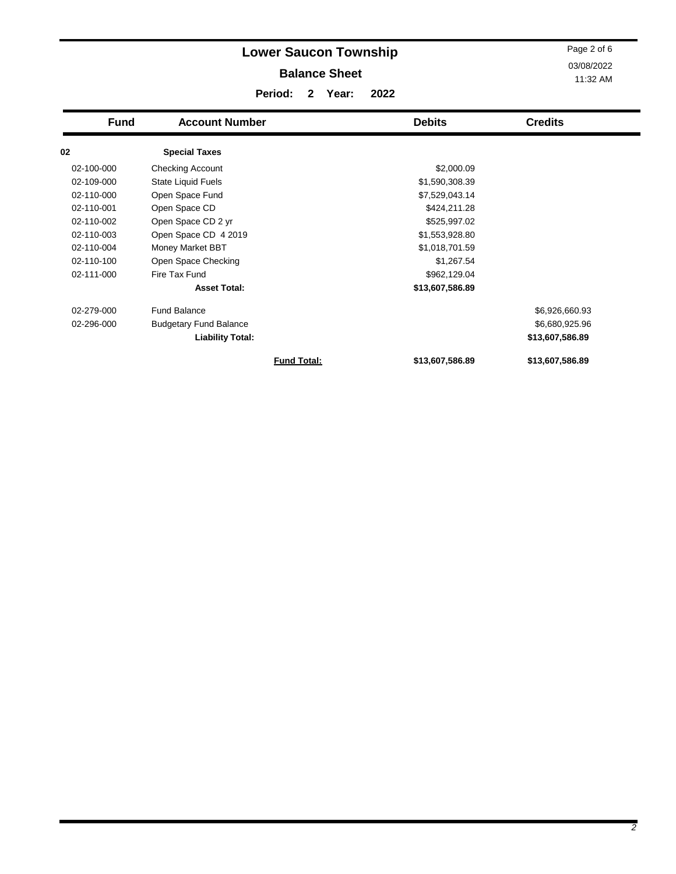|             | Page 2 of 6<br>03/08/2022<br>11:32 AM |                    |                 |                 |
|-------------|---------------------------------------|--------------------|-----------------|-----------------|
| <b>Fund</b> | <b>Account Number</b>                 |                    | <b>Debits</b>   | <b>Credits</b>  |
| 02          | <b>Special Taxes</b>                  |                    |                 |                 |
| 02-100-000  | Checking Account                      |                    | \$2,000.09      |                 |
| 02-109-000  | State Liquid Fuels                    |                    | \$1,590,308.39  |                 |
| 02-110-000  | Open Space Fund                       |                    | \$7,529,043.14  |                 |
| 02-110-001  | Open Space CD                         |                    | \$424,211.28    |                 |
| 02-110-002  | Open Space CD 2 yr                    |                    | \$525,997.02    |                 |
| 02-110-003  | Open Space CD 4 2019                  |                    | \$1,553,928.80  |                 |
| 02-110-004  | Money Market BBT                      |                    | \$1,018,701.59  |                 |
| 02-110-100  | Open Space Checking                   |                    | \$1,267.54      |                 |
| 02-111-000  | Fire Tax Fund                         |                    | \$962,129.04    |                 |
|             | <b>Asset Total:</b>                   |                    | \$13,607,586.89 |                 |
| 02-279-000  | <b>Fund Balance</b>                   |                    |                 | \$6,926,660.93  |
| 02-296-000  | <b>Budgetary Fund Balance</b>         |                    |                 | \$6,680,925.96  |
|             | <b>Liability Total:</b>               |                    |                 | \$13,607,586.89 |
|             |                                       | <b>Fund Total:</b> | \$13,607,586.89 | \$13,607,586.89 |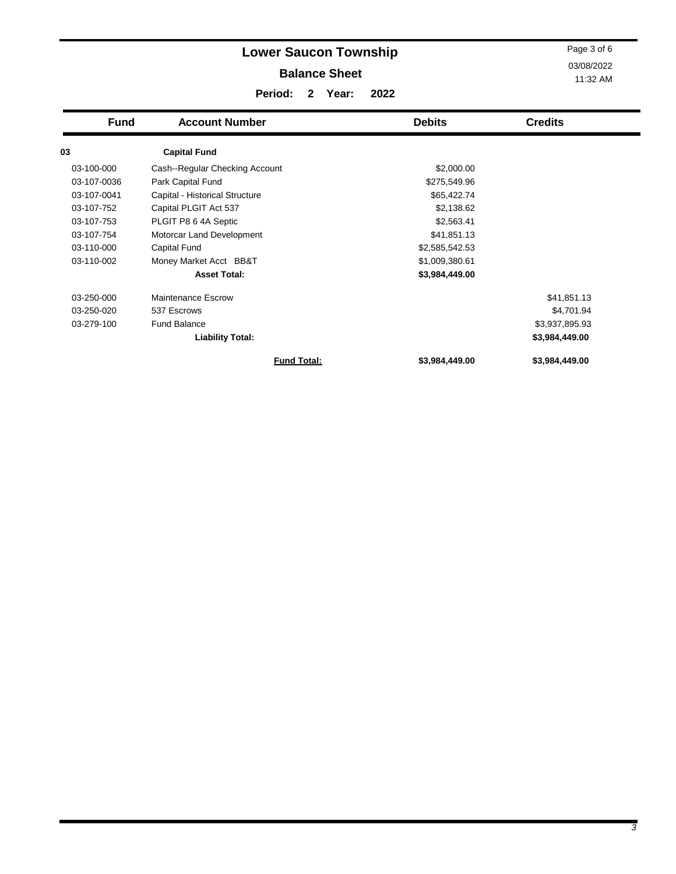|             | Page 3 of 6<br>03/08/2022<br>11:32 AM |                |                |
|-------------|---------------------------------------|----------------|----------------|
| <b>Fund</b> | <b>Account Number</b>                 | <b>Debits</b>  | <b>Credits</b> |
| 03          | <b>Capital Fund</b>                   |                |                |
| 03-100-000  | Cash--Regular Checking Account        | \$2,000.00     |                |
| 03-107-0036 | Park Capital Fund                     | \$275,549.96   |                |
| 03-107-0041 | Capital - Historical Structure        | \$65,422.74    |                |
| 03-107-752  | Capital PLGIT Act 537                 | \$2,138.62     |                |
| 03-107-753  | PLGIT P8 6 4A Septic                  | \$2,563.41     |                |
| 03-107-754  | Motorcar Land Development             | \$41,851.13    |                |
| 03-110-000  | <b>Capital Fund</b>                   | \$2,585,542.53 |                |
| 03-110-002  | Money Market Acct BB&T                | \$1,009,380.61 |                |
|             | <b>Asset Total:</b>                   | \$3,984,449.00 |                |
| 03-250-000  | Maintenance Escrow                    |                | \$41,851.13    |
| 03-250-020  | 537 Escrows                           |                | \$4,701.94     |
| 03-279-100  | <b>Fund Balance</b>                   |                | \$3,937,895.93 |
|             | <b>Liability Total:</b>               |                | \$3,984,449.00 |

**Fund Total: \$3,984,449.00 \$3,984,449.00**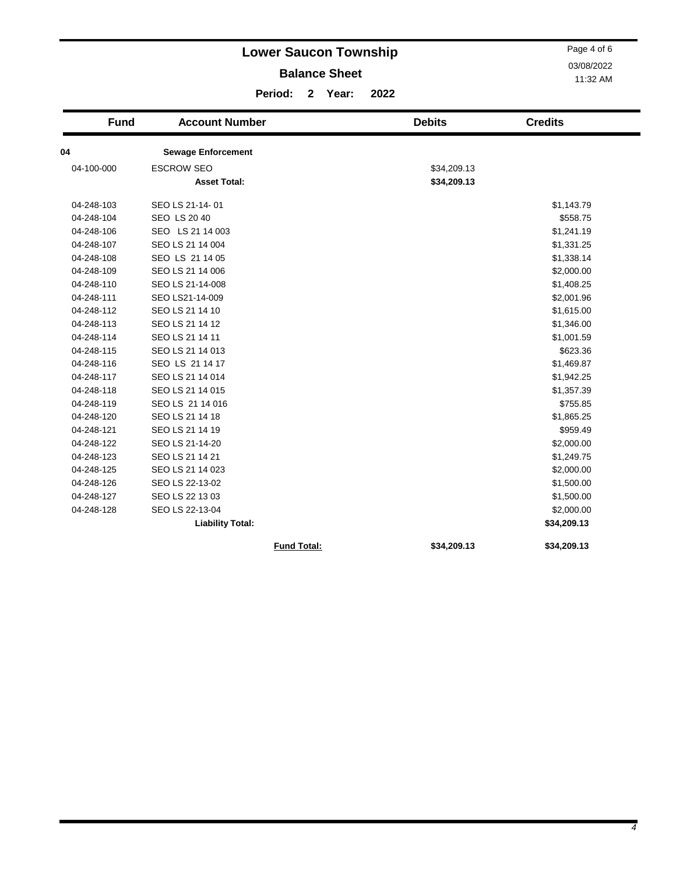|             |                           | <b>Lower Saucon Township</b> |                      |      |               | Page 4 of 6    |
|-------------|---------------------------|------------------------------|----------------------|------|---------------|----------------|
|             |                           |                              | <b>Balance Sheet</b> |      |               | 03/08/2022     |
|             |                           |                              |                      |      |               | 11:32 AM       |
|             |                           | Period:<br>$\mathbf{2}$      | Year:                | 2022 |               |                |
| <b>Fund</b> | <b>Account Number</b>     |                              |                      |      | <b>Debits</b> | <b>Credits</b> |
| 04          | <b>Sewage Enforcement</b> |                              |                      |      |               |                |
| 04-100-000  | <b>ESCROW SEO</b>         |                              |                      |      | \$34,209.13   |                |
|             | <b>Asset Total:</b>       |                              |                      |      | \$34,209.13   |                |
| 04-248-103  | SEO LS 21-14-01           |                              |                      |      |               | \$1,143.79     |
| 04-248-104  | SEO LS 20 40              |                              |                      |      |               | \$558.75       |
| 04-248-106  | SEO LS 21 14 003          |                              |                      |      |               | \$1,241.19     |
| 04-248-107  | SEO LS 21 14 004          |                              |                      |      |               | \$1,331.25     |
| 04-248-108  | SEO LS 21 14 05           |                              |                      |      |               | \$1,338.14     |
| 04-248-109  | SEO LS 21 14 006          |                              |                      |      |               | \$2,000.00     |
| 04-248-110  | SEO LS 21-14-008          |                              |                      |      |               | \$1,408.25     |
| 04-248-111  | SEO LS21-14-009           |                              |                      |      |               | \$2,001.96     |
| 04-248-112  | SEO LS 21 14 10           |                              |                      |      |               | \$1,615.00     |
| 04-248-113  | SEO LS 21 14 12           |                              |                      |      |               | \$1,346.00     |
| 04-248-114  | SEO LS 21 14 11           |                              |                      |      |               | \$1,001.59     |
| 04-248-115  | SEO LS 21 14 013          |                              |                      |      |               | \$623.36       |
| 04-248-116  | SEO LS 21 14 17           |                              |                      |      |               | \$1,469.87     |
| 04-248-117  | SEO LS 21 14 014          |                              |                      |      |               | \$1,942.25     |
| 04-248-118  | SEO LS 21 14 015          |                              |                      |      |               | \$1,357.39     |
| 04-248-119  | SEO LS 21 14 016          |                              |                      |      |               | \$755.85       |
| 04-248-120  | SEO LS 21 14 18           |                              |                      |      |               | \$1,865.25     |
| 04-248-121  | SEO LS 21 14 19           |                              |                      |      |               | \$959.49       |
| 04-248-122  | SEO LS 21-14-20           |                              |                      |      |               | \$2,000.00     |
| 04-248-123  | SEO LS 21 14 21           |                              |                      |      |               | \$1,249.75     |
| 04-248-125  | SEO LS 21 14 023          |                              |                      |      |               | \$2,000.00     |
| 04-248-126  | SEO LS 22-13-02           |                              |                      |      |               | \$1,500.00     |
| 04-248-127  | SEO LS 22 13 03           |                              |                      |      |               | \$1,500.00     |
| 04-248-128  | SEO LS 22-13-04           |                              |                      |      |               | \$2,000.00     |
|             | <b>Liability Total:</b>   |                              |                      |      |               | \$34,209.13    |
|             |                           | <b>Fund Total:</b>           |                      |      | \$34.209.13   | \$34,209.13    |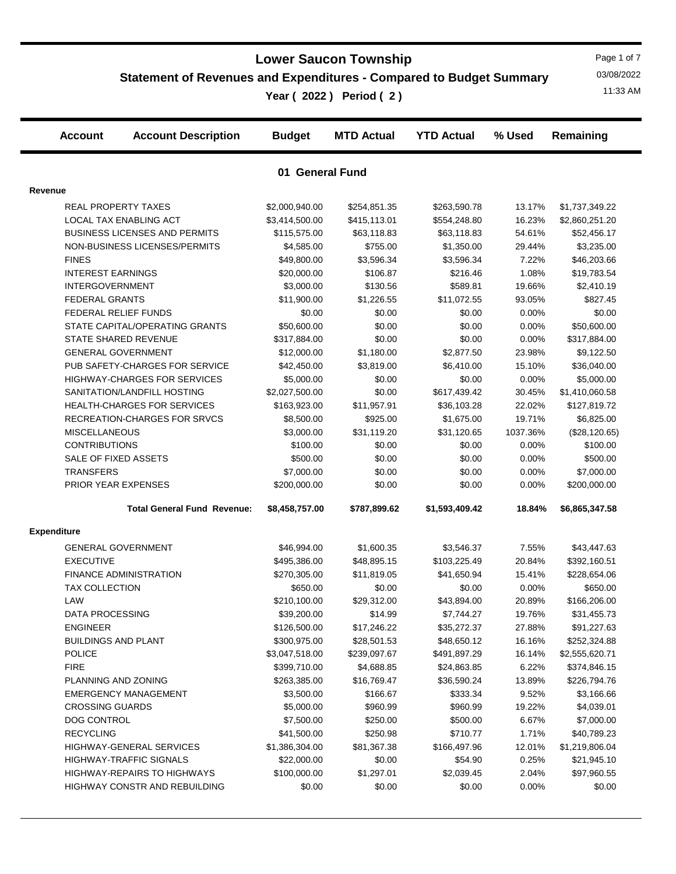## **Statement of Revenues and Expenditures - Compared to Budget Summary**

11:33 AM **Year ( 2022 ) Period ( 2 )**

Page 1 of 7 03/08/2022

|                    | <b>Account</b>                | <b>Account Description</b>           | <b>Budget</b>   | <b>MTD Actual</b> | <b>YTD Actual</b> | % Used   | Remaining      |
|--------------------|-------------------------------|--------------------------------------|-----------------|-------------------|-------------------|----------|----------------|
|                    |                               |                                      | 01 General Fund |                   |                   |          |                |
| Revenue            |                               |                                      |                 |                   |                   |          |                |
|                    | <b>REAL PROPERTY TAXES</b>    |                                      | \$2,000,940.00  | \$254,851.35      | \$263,590.78      | 13.17%   | \$1,737,349.22 |
|                    | LOCAL TAX ENABLING ACT        |                                      | \$3,414,500.00  | \$415,113.01      | \$554,248.80      | 16.23%   | \$2,860,251.20 |
|                    |                               | <b>BUSINESS LICENSES AND PERMITS</b> | \$115,575.00    | \$63,118.83       | \$63,118.83       | 54.61%   | \$52,456.17    |
|                    |                               | NON-BUSINESS LICENSES/PERMITS        | \$4,585.00      | \$755.00          | \$1,350.00        | 29.44%   | \$3,235.00     |
|                    | <b>FINES</b>                  |                                      | \$49,800.00     | \$3,596.34        | \$3,596.34        | 7.22%    | \$46,203.66    |
|                    | <b>INTEREST EARNINGS</b>      |                                      | \$20,000.00     | \$106.87          | \$216.46          | 1.08%    | \$19,783.54    |
|                    | <b>INTERGOVERNMENT</b>        |                                      | \$3,000.00      | \$130.56          | \$589.81          | 19.66%   | \$2,410.19     |
|                    | <b>FEDERAL GRANTS</b>         |                                      | \$11,900.00     | \$1,226.55        | \$11,072.55       | 93.05%   | \$827.45       |
|                    | FEDERAL RELIEF FUNDS          |                                      | \$0.00          | \$0.00            | \$0.00            | 0.00%    | \$0.00         |
|                    |                               | STATE CAPITAL/OPERATING GRANTS       | \$50,600.00     | \$0.00            | \$0.00            | 0.00%    | \$50,600.00    |
|                    | STATE SHARED REVENUE          |                                      | \$317,884.00    | \$0.00            | \$0.00            | 0.00%    | \$317,884.00   |
|                    | <b>GENERAL GOVERNMENT</b>     |                                      | \$12,000.00     | \$1,180.00        | \$2,877.50        | 23.98%   | \$9,122.50     |
|                    |                               | PUB SAFETY-CHARGES FOR SERVICE       | \$42,450.00     | \$3,819.00        | \$6,410.00        | 15.10%   | \$36,040.00    |
|                    |                               | <b>HIGHWAY-CHARGES FOR SERVICES</b>  | \$5,000.00      | \$0.00            | \$0.00            | 0.00%    | \$5,000.00     |
|                    |                               | SANITATION/LANDFILL HOSTING          | \$2,027,500.00  | \$0.00            | \$617,439.42      | 30.45%   | \$1,410,060.58 |
|                    |                               | HEALTH-CHARGES FOR SERVICES          | \$163,923.00    | \$11,957.91       | \$36,103.28       | 22.02%   | \$127,819.72   |
|                    |                               | RECREATION-CHARGES FOR SRVCS         | \$8,500.00      | \$925.00          | \$1,675.00        | 19.71%   | \$6,825.00     |
|                    | <b>MISCELLANEOUS</b>          |                                      | \$3,000.00      | \$31,119.20       | \$31,120.65       | 1037.36% | (\$28,120.65)  |
|                    | <b>CONTRIBUTIONS</b>          |                                      | \$100.00        | \$0.00            | \$0.00            | 0.00%    | \$100.00       |
|                    | SALE OF FIXED ASSETS          |                                      | \$500.00        | \$0.00            | \$0.00            | 0.00%    | \$500.00       |
|                    | <b>TRANSFERS</b>              |                                      | \$7,000.00      | \$0.00            | \$0.00            | 0.00%    | \$7,000.00     |
|                    | PRIOR YEAR EXPENSES           |                                      | \$200,000.00    | \$0.00            | \$0.00            | 0.00%    | \$200,000.00   |
|                    |                               |                                      |                 |                   |                   |          |                |
|                    |                               | <b>Total General Fund Revenue:</b>   | \$8,458,757.00  | \$787,899.62      | \$1,593,409.42    | 18.84%   | \$6,865,347.58 |
| <b>Expenditure</b> |                               |                                      |                 |                   |                   |          |                |
|                    | <b>GENERAL GOVERNMENT</b>     |                                      | \$46,994.00     | \$1,600.35        | \$3,546.37        | 7.55%    | \$43,447.63    |
|                    | <b>EXECUTIVE</b>              |                                      | \$495,386.00    | \$48,895.15       | \$103,225.49      | 20.84%   | \$392,160.51   |
|                    | <b>FINANCE ADMINISTRATION</b> |                                      | \$270,305.00    | \$11,819.05       | \$41,650.94       | 15.41%   | \$228,654.06   |
|                    | <b>TAX COLLECTION</b>         |                                      | \$650.00        | \$0.00            | \$0.00            | 0.00%    | \$650.00       |
|                    | LAW                           |                                      | \$210,100.00    | \$29,312.00       | \$43,894.00       | 20.89%   | \$166,206.00   |
|                    | <b>DATA PROCESSING</b>        |                                      | \$39,200.00     | \$14.99           | \$7,744.27        | 19.76%   | \$31,455.73    |
|                    | ENGINEER                      |                                      | \$126,500.00    | \$17,246.22       | \$35,272.37       | 27.88%   | \$91,227.63    |
|                    | <b>BUILDINGS AND PLANT</b>    |                                      | \$300,975.00    | \$28,501.53       | \$48,650.12       | 16.16%   | \$252,324.88   |
|                    | <b>POLICE</b>                 |                                      | \$3,047,518.00  | \$239,097.67      | \$491,897.29      | 16.14%   | \$2,555,620.71 |
|                    | <b>FIRE</b>                   |                                      | \$399,710.00    | \$4,688.85        | \$24,863.85       | 6.22%    | \$374,846.15   |
|                    | PLANNING AND ZONING           |                                      | \$263,385.00    | \$16,769.47       | \$36,590.24       | 13.89%   | \$226,794.76   |
|                    |                               | <b>EMERGENCY MANAGEMENT</b>          | \$3,500.00      | \$166.67          | \$333.34          | 9.52%    | \$3,166.66     |
|                    | <b>CROSSING GUARDS</b>        |                                      | \$5,000.00      | \$960.99          | \$960.99          | 19.22%   | \$4,039.01     |
|                    | DOG CONTROL                   |                                      | \$7,500.00      | \$250.00          | \$500.00          | 6.67%    | \$7,000.00     |
|                    | <b>RECYCLING</b>              |                                      | \$41,500.00     | \$250.98          | \$710.77          | 1.71%    | \$40,789.23    |
|                    |                               | HIGHWAY-GENERAL SERVICES             | \$1,386,304.00  | \$81,367.38       | \$166,497.96      | 12.01%   | \$1,219,806.04 |
|                    |                               | <b>HIGHWAY-TRAFFIC SIGNALS</b>       | \$22,000.00     | \$0.00            | \$54.90           | 0.25%    | \$21,945.10    |
|                    |                               | HIGHWAY-REPAIRS TO HIGHWAYS          | \$100,000.00    | \$1,297.01        | \$2,039.45        | 2.04%    | \$97,960.55    |

HIGHWAY CONSTR AND REBUILDING  $$0.00$   $$0.00$   $$0.00$   $$0.00$   $$0.00$  0.00%  $$0.00$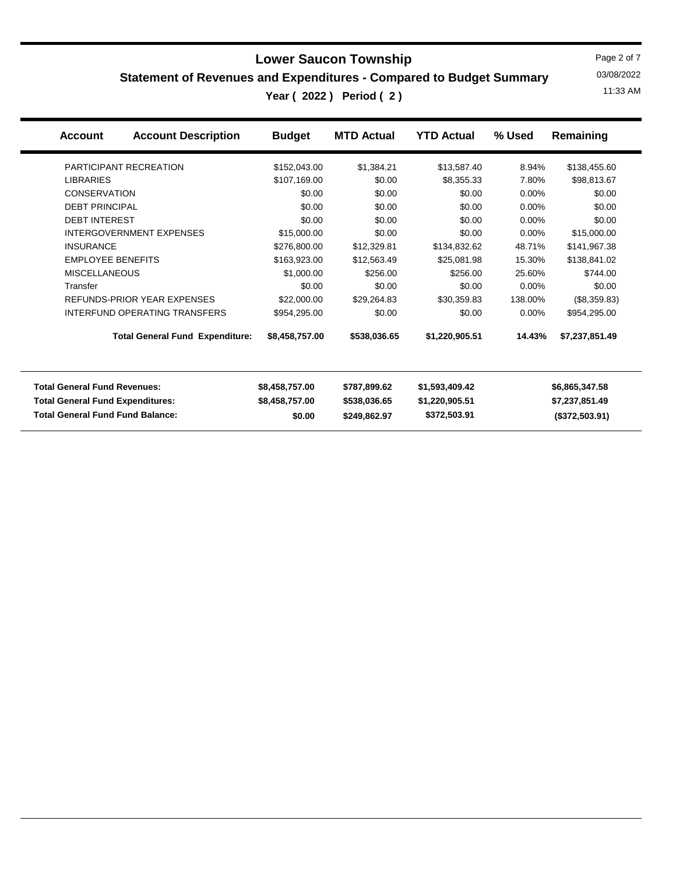**Statement of Revenues and Expenditures - Compared to Budget Summary**

11:33 AM **Year ( 2022 ) Period ( 2 )**

Page 2 of 7 03/08/2022

| <b>Account Description</b><br><b>Account</b> | <b>Budget</b>  | <b>MTD Actual</b> | <b>YTD Actual</b> | % Used   | Remaining      |  |
|----------------------------------------------|----------------|-------------------|-------------------|----------|----------------|--|
| PARTICIPANT RECREATION                       | \$152,043.00   | \$1,384.21        | \$13,587.40       | 8.94%    | \$138,455.60   |  |
| <b>LIBRARIES</b>                             | \$107,169.00   | \$0.00            | \$8,355.33        | 7.80%    | \$98,813.67    |  |
| <b>CONSERVATION</b>                          | \$0.00         | \$0.00            | \$0.00            | 0.00%    | \$0.00         |  |
| <b>DEBT PRINCIPAL</b>                        | \$0.00         | \$0.00            | \$0.00            | 0.00%    | \$0.00         |  |
| <b>DEBT INTEREST</b>                         | \$0.00         | \$0.00            | \$0.00            | 0.00%    | \$0.00         |  |
| <b>INTERGOVERNMENT EXPENSES</b>              | \$15,000.00    | \$0.00            | \$0.00            | $0.00\%$ | \$15,000.00    |  |
| <b>INSURANCE</b>                             | \$276,800.00   | \$12,329.81       | \$134,832.62      | 48.71%   | \$141,967.38   |  |
| <b>EMPLOYEE BENEFITS</b>                     | \$163,923.00   | \$12,563.49       | \$25,081.98       | 15.30%   | \$138,841.02   |  |
| <b>MISCELLANEOUS</b>                         | \$1,000.00     | \$256.00          | \$256.00          | 25.60%   | \$744.00       |  |
| Transfer                                     | \$0.00         | \$0.00            | \$0.00            | $0.00\%$ | \$0.00         |  |
| REFUNDS-PRIOR YEAR EXPENSES                  | \$22,000.00    | \$29,264.83       | \$30,359.83       | 138.00%  | (\$8,359.83)   |  |
| INTERFUND OPERATING TRANSFERS                | \$954,295.00   | \$0.00            | \$0.00            | $0.00\%$ | \$954,295.00   |  |
| <b>Total General Fund Expenditure:</b>       | \$8,458,757.00 | \$538,036.65      | \$1,220,905.51    | 14.43%   | \$7,237,851.49 |  |
| <b>Total General Fund Revenues:</b>          | \$8,458,757.00 | \$787,899.62      | \$1,593,409.42    |          | \$6,865,347.58 |  |
| <b>Total General Fund Expenditures:</b>      | \$8,458,757.00 | \$538,036.65      | \$1,220,905.51    |          | \$7,237,851.49 |  |

**Total General Fund Fund Balance: \$0.00 \$249,862.97 \$372,503.91 (\$372,503.91)**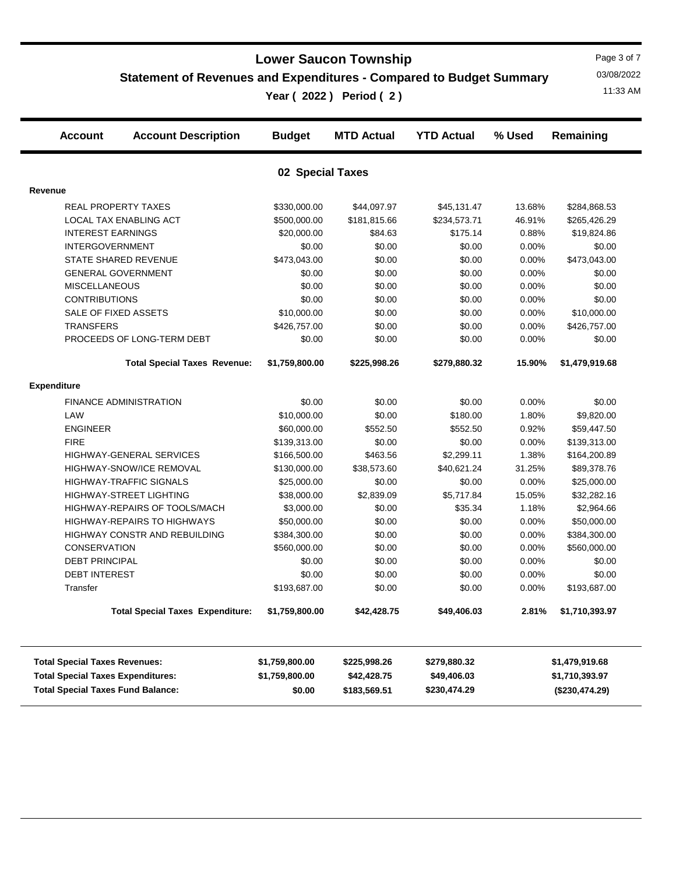**Statement of Revenues and Expenditures - Compared to Budget Summary**

11:33 AM **Year ( 2022 ) Period ( 2 )**

Page 3 of 7 03/08/2022

| <b>Budget</b>    | <b>MTD Actual</b>                                                                                                                                                                                                                                                                                                                                                                                                           | <b>YTD Actual</b>                                                                                                                                                                                                                                                                           | % Used                                                                                                                                                                                                                                                                                            | Remaining                                                                                                                                                                                    |  |  |  |  |  |  |  |
|------------------|-----------------------------------------------------------------------------------------------------------------------------------------------------------------------------------------------------------------------------------------------------------------------------------------------------------------------------------------------------------------------------------------------------------------------------|---------------------------------------------------------------------------------------------------------------------------------------------------------------------------------------------------------------------------------------------------------------------------------------------|---------------------------------------------------------------------------------------------------------------------------------------------------------------------------------------------------------------------------------------------------------------------------------------------------|----------------------------------------------------------------------------------------------------------------------------------------------------------------------------------------------|--|--|--|--|--|--|--|
| 02 Special Taxes |                                                                                                                                                                                                                                                                                                                                                                                                                             |                                                                                                                                                                                                                                                                                             |                                                                                                                                                                                                                                                                                                   |                                                                                                                                                                                              |  |  |  |  |  |  |  |
|                  |                                                                                                                                                                                                                                                                                                                                                                                                                             |                                                                                                                                                                                                                                                                                             |                                                                                                                                                                                                                                                                                                   |                                                                                                                                                                                              |  |  |  |  |  |  |  |
|                  |                                                                                                                                                                                                                                                                                                                                                                                                                             |                                                                                                                                                                                                                                                                                             |                                                                                                                                                                                                                                                                                                   | \$284,868.53                                                                                                                                                                                 |  |  |  |  |  |  |  |
|                  |                                                                                                                                                                                                                                                                                                                                                                                                                             |                                                                                                                                                                                                                                                                                             |                                                                                                                                                                                                                                                                                                   | \$265,426.29                                                                                                                                                                                 |  |  |  |  |  |  |  |
|                  |                                                                                                                                                                                                                                                                                                                                                                                                                             |                                                                                                                                                                                                                                                                                             |                                                                                                                                                                                                                                                                                                   | \$19,824.86                                                                                                                                                                                  |  |  |  |  |  |  |  |
|                  |                                                                                                                                                                                                                                                                                                                                                                                                                             |                                                                                                                                                                                                                                                                                             |                                                                                                                                                                                                                                                                                                   | \$0.00                                                                                                                                                                                       |  |  |  |  |  |  |  |
|                  |                                                                                                                                                                                                                                                                                                                                                                                                                             |                                                                                                                                                                                                                                                                                             |                                                                                                                                                                                                                                                                                                   | \$473,043.00                                                                                                                                                                                 |  |  |  |  |  |  |  |
|                  |                                                                                                                                                                                                                                                                                                                                                                                                                             |                                                                                                                                                                                                                                                                                             |                                                                                                                                                                                                                                                                                                   | \$0.00                                                                                                                                                                                       |  |  |  |  |  |  |  |
|                  |                                                                                                                                                                                                                                                                                                                                                                                                                             |                                                                                                                                                                                                                                                                                             |                                                                                                                                                                                                                                                                                                   | \$0.00                                                                                                                                                                                       |  |  |  |  |  |  |  |
|                  |                                                                                                                                                                                                                                                                                                                                                                                                                             |                                                                                                                                                                                                                                                                                             |                                                                                                                                                                                                                                                                                                   | \$0.00                                                                                                                                                                                       |  |  |  |  |  |  |  |
|                  |                                                                                                                                                                                                                                                                                                                                                                                                                             |                                                                                                                                                                                                                                                                                             |                                                                                                                                                                                                                                                                                                   | \$10,000.00                                                                                                                                                                                  |  |  |  |  |  |  |  |
|                  |                                                                                                                                                                                                                                                                                                                                                                                                                             |                                                                                                                                                                                                                                                                                             |                                                                                                                                                                                                                                                                                                   | \$426,757.00                                                                                                                                                                                 |  |  |  |  |  |  |  |
| \$0.00           | \$0.00                                                                                                                                                                                                                                                                                                                                                                                                                      | \$0.00                                                                                                                                                                                                                                                                                      | 0.00%                                                                                                                                                                                                                                                                                             | \$0.00                                                                                                                                                                                       |  |  |  |  |  |  |  |
| \$1,759,800.00   | \$225,998.26                                                                                                                                                                                                                                                                                                                                                                                                                | \$279,880.32                                                                                                                                                                                                                                                                                | 15.90%                                                                                                                                                                                                                                                                                            | \$1,479,919.68                                                                                                                                                                               |  |  |  |  |  |  |  |
|                  |                                                                                                                                                                                                                                                                                                                                                                                                                             |                                                                                                                                                                                                                                                                                             |                                                                                                                                                                                                                                                                                                   |                                                                                                                                                                                              |  |  |  |  |  |  |  |
|                  | \$0.00                                                                                                                                                                                                                                                                                                                                                                                                                      | \$0.00                                                                                                                                                                                                                                                                                      | 0.00%                                                                                                                                                                                                                                                                                             | \$0.00                                                                                                                                                                                       |  |  |  |  |  |  |  |
|                  |                                                                                                                                                                                                                                                                                                                                                                                                                             |                                                                                                                                                                                                                                                                                             |                                                                                                                                                                                                                                                                                                   | \$9,820.00                                                                                                                                                                                   |  |  |  |  |  |  |  |
| \$60,000.00      |                                                                                                                                                                                                                                                                                                                                                                                                                             |                                                                                                                                                                                                                                                                                             |                                                                                                                                                                                                                                                                                                   | \$59,447.50                                                                                                                                                                                  |  |  |  |  |  |  |  |
|                  |                                                                                                                                                                                                                                                                                                                                                                                                                             |                                                                                                                                                                                                                                                                                             |                                                                                                                                                                                                                                                                                                   | \$139,313.00                                                                                                                                                                                 |  |  |  |  |  |  |  |
|                  |                                                                                                                                                                                                                                                                                                                                                                                                                             |                                                                                                                                                                                                                                                                                             |                                                                                                                                                                                                                                                                                                   | \$164,200.89                                                                                                                                                                                 |  |  |  |  |  |  |  |
|                  | \$38,573.60                                                                                                                                                                                                                                                                                                                                                                                                                 | \$40,621.24                                                                                                                                                                                                                                                                                 | 31.25%                                                                                                                                                                                                                                                                                            | \$89,378.76                                                                                                                                                                                  |  |  |  |  |  |  |  |
| \$25,000.00      |                                                                                                                                                                                                                                                                                                                                                                                                                             |                                                                                                                                                                                                                                                                                             | 0.00%                                                                                                                                                                                                                                                                                             | \$25,000.00                                                                                                                                                                                  |  |  |  |  |  |  |  |
|                  |                                                                                                                                                                                                                                                                                                                                                                                                                             |                                                                                                                                                                                                                                                                                             |                                                                                                                                                                                                                                                                                                   | \$32,282.16                                                                                                                                                                                  |  |  |  |  |  |  |  |
|                  |                                                                                                                                                                                                                                                                                                                                                                                                                             |                                                                                                                                                                                                                                                                                             |                                                                                                                                                                                                                                                                                                   | \$2,964.66                                                                                                                                                                                   |  |  |  |  |  |  |  |
|                  |                                                                                                                                                                                                                                                                                                                                                                                                                             |                                                                                                                                                                                                                                                                                             |                                                                                                                                                                                                                                                                                                   | \$50,000.00                                                                                                                                                                                  |  |  |  |  |  |  |  |
|                  |                                                                                                                                                                                                                                                                                                                                                                                                                             |                                                                                                                                                                                                                                                                                             |                                                                                                                                                                                                                                                                                                   | \$384,300.00                                                                                                                                                                                 |  |  |  |  |  |  |  |
| \$560,000.00     |                                                                                                                                                                                                                                                                                                                                                                                                                             |                                                                                                                                                                                                                                                                                             |                                                                                                                                                                                                                                                                                                   | \$560,000.00                                                                                                                                                                                 |  |  |  |  |  |  |  |
|                  |                                                                                                                                                                                                                                                                                                                                                                                                                             |                                                                                                                                                                                                                                                                                             |                                                                                                                                                                                                                                                                                                   | \$0.00                                                                                                                                                                                       |  |  |  |  |  |  |  |
|                  |                                                                                                                                                                                                                                                                                                                                                                                                                             |                                                                                                                                                                                                                                                                                             |                                                                                                                                                                                                                                                                                                   | \$0.00                                                                                                                                                                                       |  |  |  |  |  |  |  |
| \$193,687.00     | \$0.00                                                                                                                                                                                                                                                                                                                                                                                                                      | \$0.00                                                                                                                                                                                                                                                                                      | 0.00%                                                                                                                                                                                                                                                                                             | \$193,687.00                                                                                                                                                                                 |  |  |  |  |  |  |  |
| \$1,759,800.00   | \$42,428.75                                                                                                                                                                                                                                                                                                                                                                                                                 | \$49,406.03                                                                                                                                                                                                                                                                                 | 2.81%                                                                                                                                                                                                                                                                                             | \$1,710,393.97                                                                                                                                                                               |  |  |  |  |  |  |  |
|                  |                                                                                                                                                                                                                                                                                                                                                                                                                             |                                                                                                                                                                                                                                                                                             |                                                                                                                                                                                                                                                                                                   | \$1,479,919.68                                                                                                                                                                               |  |  |  |  |  |  |  |
|                  |                                                                                                                                                                                                                                                                                                                                                                                                                             |                                                                                                                                                                                                                                                                                             |                                                                                                                                                                                                                                                                                                   | \$1,710,393.97                                                                                                                                                                               |  |  |  |  |  |  |  |
|                  |                                                                                                                                                                                                                                                                                                                                                                                                                             |                                                                                                                                                                                                                                                                                             |                                                                                                                                                                                                                                                                                                   | (\$230,474.29)                                                                                                                                                                               |  |  |  |  |  |  |  |
|                  | \$330,000.00<br>\$500,000.00<br>\$20,000.00<br>\$0.00<br>\$473,043.00<br>\$0.00<br>\$0.00<br>\$0.00<br>\$10,000.00<br>\$426,757.00<br><b>Total Special Taxes Revenue:</b><br>\$0.00<br>\$10,000.00<br>\$139,313.00<br>\$166,500.00<br>\$130,000.00<br>\$38,000.00<br>\$3,000.00<br>\$50,000.00<br>\$384,300.00<br>\$0.00<br>\$0.00<br><b>Total Special Taxes Expenditure:</b><br>\$1,759,800.00<br>\$1,759,800.00<br>\$0.00 | \$44,097.97<br>\$181,815.66<br>\$84.63<br>\$0.00<br>\$0.00<br>\$0.00<br>\$0.00<br>\$0.00<br>\$0.00<br>\$0.00<br>\$0.00<br>\$552.50<br>\$0.00<br>\$463.56<br>\$0.00<br>\$2,839.09<br>\$0.00<br>\$0.00<br>\$0.00<br>\$0.00<br>\$0.00<br>\$0.00<br>\$225,998.26<br>\$42,428.75<br>\$183,569.51 | \$45,131.47<br>\$234,573.71<br>\$175.14<br>\$0.00<br>\$0.00<br>\$0.00<br>\$0.00<br>\$0.00<br>\$0.00<br>\$0.00<br>\$180.00<br>\$552.50<br>\$0.00<br>\$2,299.11<br>\$0.00<br>\$5,717.84<br>\$35.34<br>\$0.00<br>\$0.00<br>\$0.00<br>\$0.00<br>\$0.00<br>\$279,880.32<br>\$49,406.03<br>\$230,474.29 | 13.68%<br>46.91%<br>0.88%<br>0.00%<br>0.00%<br>0.00%<br>0.00%<br>0.00%<br>0.00%<br>0.00%<br>1.80%<br>0.92%<br>0.00%<br>1.38%<br>15.05%<br>1.18%<br>0.00%<br>0.00%<br>0.00%<br>0.00%<br>0.00% |  |  |  |  |  |  |  |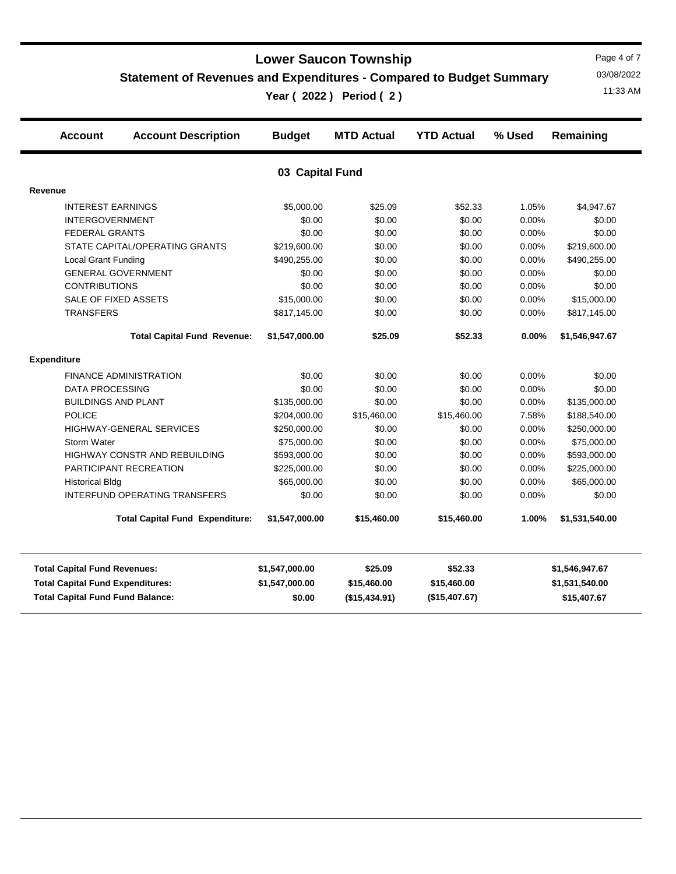**Statement of Revenues and Expenditures - Compared to Budget Summary**

11:33 AM **Year ( 2022 ) Period ( 2 )**

Page 4 of 7 03/08/2022

| <b>Account</b>             | <b>Account Description</b>         | <b>Budget</b>   | <b>MTD Actual</b> | <b>YTD Actual</b> | % Used   | Remaining      |
|----------------------------|------------------------------------|-----------------|-------------------|-------------------|----------|----------------|
|                            |                                    | 03 Capital Fund |                   |                   |          |                |
| Revenue                    |                                    |                 |                   |                   |          |                |
| <b>INTEREST EARNINGS</b>   |                                    | \$5,000.00      | \$25.09           | \$52.33           | 1.05%    | \$4,947.67     |
| <b>INTERGOVERNMENT</b>     |                                    | \$0.00          | \$0.00            | \$0.00            | 0.00%    | \$0.00         |
| <b>FEDERAL GRANTS</b>      |                                    | \$0.00          | \$0.00            | \$0.00            | 0.00%    | \$0.00         |
|                            | STATE CAPITAL/OPERATING GRANTS     | \$219,600.00    | \$0.00            | \$0.00            | 0.00%    | \$219,600.00   |
| <b>Local Grant Funding</b> |                                    | \$490,255.00    | \$0.00            | \$0.00            | 0.00%    | \$490,255.00   |
|                            | <b>GENERAL GOVERNMENT</b>          | \$0.00          | \$0.00            | \$0.00            | 0.00%    | \$0.00         |
| <b>CONTRIBUTIONS</b>       |                                    | \$0.00          | \$0.00            | \$0.00            | 0.00%    | \$0.00         |
|                            | SALE OF FIXED ASSETS               | \$15,000.00     | \$0.00            | \$0.00            | 0.00%    | \$15,000.00    |
| <b>TRANSFERS</b>           |                                    | \$817,145.00    | \$0.00            | \$0.00            | $0.00\%$ | \$817,145.00   |
|                            | <b>Total Capital Fund Revenue:</b> | \$1,547,000.00  | \$25.09           | \$52.33           | $0.00\%$ | \$1,546,947.67 |
| Expenditure                |                                    |                 |                   |                   |          |                |
|                            | <b>FINANCE ADMINISTRATION</b>      | \$0.00          | \$0.00            | \$0.00            | 0.00%    | \$0.00         |
| <b>DATA PROCESSING</b>     |                                    | \$0.00          | \$0.00            | \$0.00            | 0.00%    | \$0.00         |
|                            | <b>BUILDINGS AND PLANT</b>         | \$135,000.00    | \$0.00            | \$0.00            | 0.00%    | \$135,000.00   |
| <b>POLICE</b>              |                                    | \$204,000.00    | \$15,460.00       | \$15,460.00       | 7.58%    | \$188,540.00   |
|                            | HIGHWAY-GENERAL SERVICES           | \$250,000.00    | \$0.00            | \$0.00            | 0.00%    | \$250,000.00   |
| Storm Water                |                                    | \$75,000.00     | \$0.00            | \$0.00            | 0.00%    | \$75,000.00    |

HIGHWAY CONSTR AND REBUILDING \$593,000.00 \$0.00 \$0.00 0.00% \$593,000.00 PARTICIPANT RECREATION \$225,000.00 \$0.00 \$0.00 0.00% \$225,000.00 Historical Bldg **65,000.00** \$65,000.00 \$0.00 \$0.00 \$0.00 \$0.00 \$0.00 \$65,000.00 INTERFUND OPERATING TRANSFERS  $$0.00$   $$0.00$   $$0.00$   $$0.00$   $$0.00$   $$0.00$   $$0.00$ 

**Total Capital Fund Fund Balance: \$0.00 (\$15,434.91) (\$15,407.67) \$15,407.67 Total Capital Fund Expenditures: \$1,547,000.00 \$15,460.00 \$15,460.00 \$1,531,540.00 Total Capital Fund Revenues: \$1,547,000.00 \$25.09 \$52.33 \$1,546,947.67**

**Total Capital Fund Expenditure: \$1,547,000.00 \$15,460.00 \$15,460.00 1.00% \$1,531,540.00**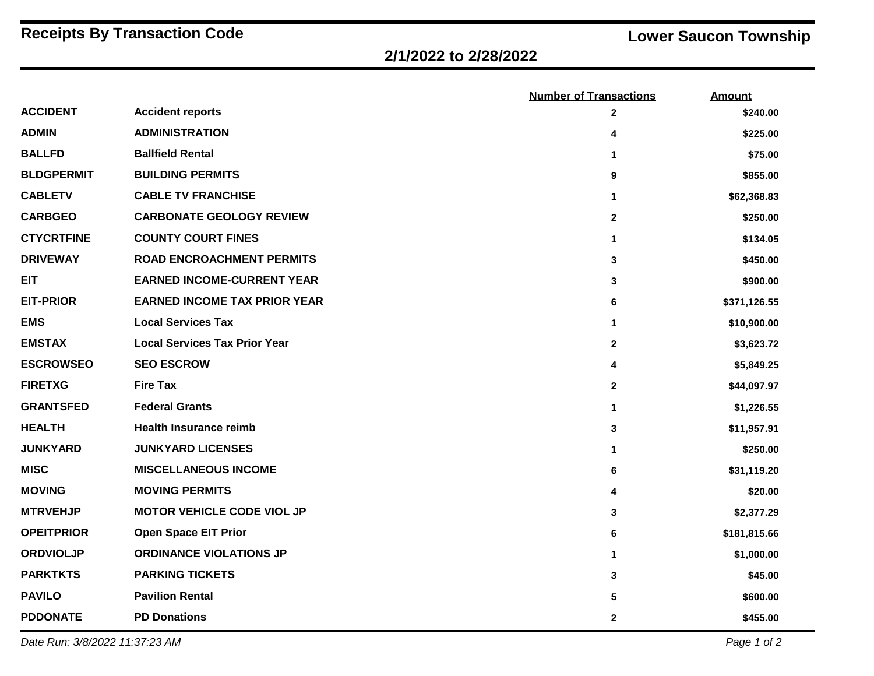# **Receipts By Transaction Code Lower Saucon Township**

## **2/1/2022 to 2/28/2022**

|                   |                                      | <b>Number of Transactions</b> | <b>Amount</b> |
|-------------------|--------------------------------------|-------------------------------|---------------|
| <b>ACCIDENT</b>   | <b>Accident reports</b>              | $\mathbf{2}$                  | \$240.00      |
| <b>ADMIN</b>      | <b>ADMINISTRATION</b>                | 4                             | \$225.00      |
| <b>BALLFD</b>     | <b>Ballfield Rental</b>              | 1                             | \$75.00       |
| <b>BLDGPERMIT</b> | <b>BUILDING PERMITS</b>              | 9                             | \$855.00      |
| <b>CABLETV</b>    | <b>CABLE TV FRANCHISE</b>            | 1                             | \$62,368.83   |
| <b>CARBGEO</b>    | <b>CARBONATE GEOLOGY REVIEW</b>      | $\boldsymbol{2}$              | \$250.00      |
| <b>CTYCRTFINE</b> | <b>COUNTY COURT FINES</b>            | $\mathbf{1}$                  | \$134.05      |
| <b>DRIVEWAY</b>   | <b>ROAD ENCROACHMENT PERMITS</b>     | 3                             | \$450.00      |
| <b>EIT</b>        | <b>EARNED INCOME-CURRENT YEAR</b>    | 3                             | \$900.00      |
| <b>EIT-PRIOR</b>  | <b>EARNED INCOME TAX PRIOR YEAR</b>  | 6                             | \$371,126.55  |
| <b>EMS</b>        | <b>Local Services Tax</b>            | 1                             | \$10,900.00   |
| <b>EMSTAX</b>     | <b>Local Services Tax Prior Year</b> | $\mathbf{2}$                  | \$3,623.72    |
| <b>ESCROWSEO</b>  | <b>SEO ESCROW</b>                    | 4                             | \$5,849.25    |
| <b>FIRETXG</b>    | <b>Fire Tax</b>                      | $\overline{2}$                | \$44,097.97   |
| <b>GRANTSFED</b>  | <b>Federal Grants</b>                | 1                             | \$1,226.55    |
| <b>HEALTH</b>     | <b>Health Insurance reimb</b>        | 3                             | \$11,957.91   |
| <b>JUNKYARD</b>   | <b>JUNKYARD LICENSES</b>             | 1                             | \$250.00      |
| <b>MISC</b>       | <b>MISCELLANEOUS INCOME</b>          | 6                             | \$31,119.20   |
| <b>MOVING</b>     | <b>MOVING PERMITS</b>                | 4                             | \$20.00       |
| <b>MTRVEHJP</b>   | <b>MOTOR VEHICLE CODE VIOL JP</b>    | 3                             | \$2,377.29    |
| <b>OPEITPRIOR</b> | <b>Open Space EIT Prior</b>          | 6                             | \$181,815.66  |
| <b>ORDVIOLJP</b>  | <b>ORDINANCE VIOLATIONS JP</b>       | 1                             | \$1,000.00    |
| <b>PARKTKTS</b>   | <b>PARKING TICKETS</b>               | 3                             | \$45.00       |
| <b>PAVILO</b>     | <b>Pavilion Rental</b>               | 5                             | \$600.00      |
| <b>PDDONATE</b>   | <b>PD Donations</b>                  | $\mathbf 2$                   | \$455.00      |

*Date Run: 3/8/2022 11:37:23 AM Page 1 of 2*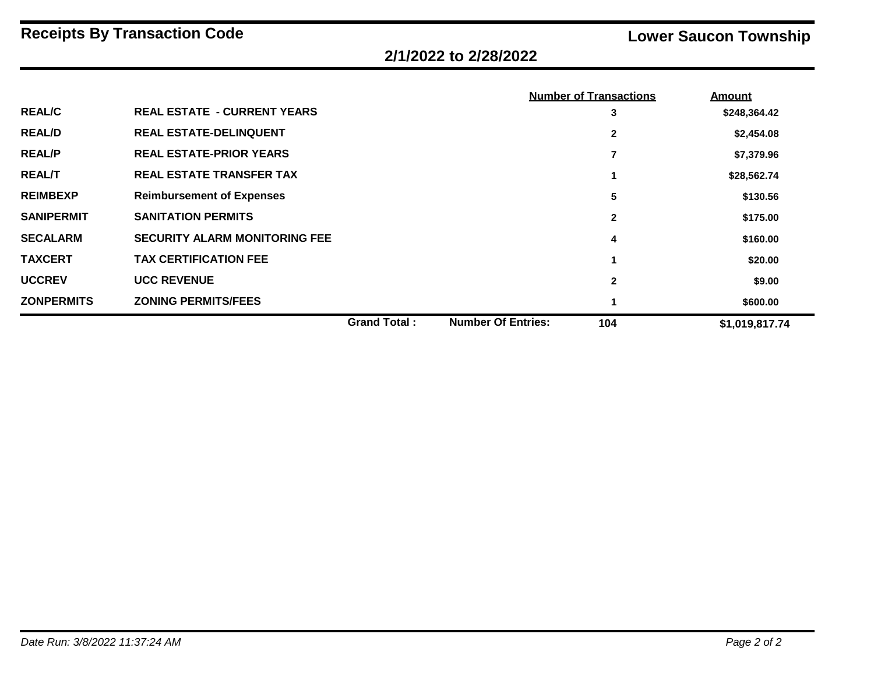# **2/1/2022 to 2/28/2022**

|                   |                                      |                     |                           | <b>Number of Transactions</b> | <b>Amount</b>  |
|-------------------|--------------------------------------|---------------------|---------------------------|-------------------------------|----------------|
| <b>REAL/C</b>     | <b>REAL ESTATE - CURRENT YEARS</b>   |                     |                           | 3                             | \$248,364.42   |
| <b>REAL/D</b>     | <b>REAL ESTATE-DELINQUENT</b>        |                     |                           | $\mathbf{2}$                  | \$2,454.08     |
| <b>REAL/P</b>     | <b>REAL ESTATE-PRIOR YEARS</b>       |                     |                           | 7                             | \$7,379.96     |
| <b>REAL/T</b>     | <b>REAL ESTATE TRANSFER TAX</b>      |                     |                           |                               | \$28,562.74    |
| <b>REIMBEXP</b>   | <b>Reimbursement of Expenses</b>     |                     |                           | 5                             | \$130.56       |
| <b>SANIPERMIT</b> | <b>SANITATION PERMITS</b>            |                     |                           | $\mathbf{2}$                  | \$175.00       |
| <b>SECALARM</b>   | <b>SECURITY ALARM MONITORING FEE</b> |                     |                           | 4                             | \$160.00       |
| <b>TAXCERT</b>    | <b>TAX CERTIFICATION FEE</b>         |                     |                           |                               | \$20.00        |
| <b>UCCREV</b>     | <b>UCC REVENUE</b>                   |                     |                           | $\mathbf{2}$                  | \$9.00         |
| <b>ZONPERMITS</b> | <b>ZONING PERMITS/FEES</b>           |                     |                           |                               | \$600.00       |
|                   |                                      | <b>Grand Total:</b> | <b>Number Of Entries:</b> | 104                           | \$1,019,817.74 |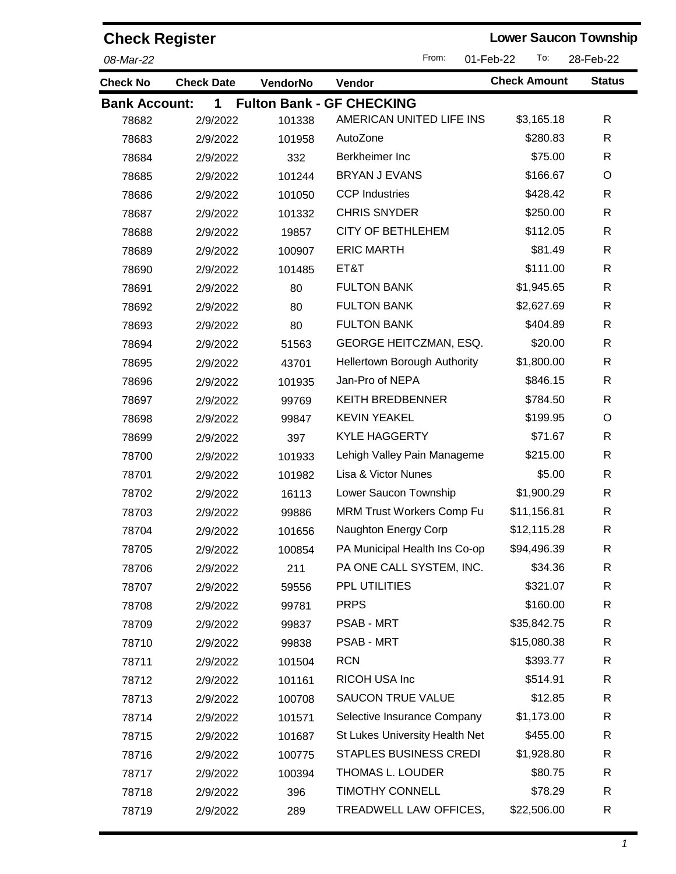| <b>Check Register</b> |                   |                 |                                  | <b>Lower Saucon Township</b> |               |
|-----------------------|-------------------|-----------------|----------------------------------|------------------------------|---------------|
| 08-Mar-22             |                   |                 | From:                            | To:<br>01-Feb-22             | 28-Feb-22     |
| <b>Check No</b>       | <b>Check Date</b> | <b>VendorNo</b> | Vendor                           | <b>Check Amount</b>          | <b>Status</b> |
| <b>Bank Account:</b>  | 1                 |                 | <b>Fulton Bank - GF CHECKING</b> |                              |               |
| 78682                 | 2/9/2022          | 101338          | AMERICAN UNITED LIFE INS         | \$3,165.18                   | R             |
| 78683                 | 2/9/2022          | 101958          | AutoZone                         | \$280.83                     | R             |
| 78684                 | 2/9/2022          | 332             | Berkheimer Inc                   | \$75.00                      | R             |
| 78685                 | 2/9/2022          | 101244          | <b>BRYAN J EVANS</b>             | \$166.67                     | O             |
| 78686                 | 2/9/2022          | 101050          | <b>CCP Industries</b>            | \$428.42                     | $\mathsf{R}$  |
| 78687                 | 2/9/2022          | 101332          | <b>CHRIS SNYDER</b>              | \$250.00                     | R             |
| 78688                 | 2/9/2022          | 19857           | <b>CITY OF BETHLEHEM</b>         | \$112.05                     | R             |
| 78689                 | 2/9/2022          | 100907          | <b>ERIC MARTH</b>                | \$81.49                      | R             |
| 78690                 | 2/9/2022          | 101485          | ET&T                             | \$111.00                     | R             |
| 78691                 | 2/9/2022          | 80              | <b>FULTON BANK</b>               | \$1,945.65                   | R             |
| 78692                 | 2/9/2022          | 80              | <b>FULTON BANK</b>               | \$2,627.69                   | R             |
| 78693                 | 2/9/2022          | 80              | <b>FULTON BANK</b>               | \$404.89                     | R             |
| 78694                 | 2/9/2022          | 51563           | <b>GEORGE HEITCZMAN, ESQ.</b>    | \$20.00                      | $\mathsf{R}$  |
| 78695                 | 2/9/2022          | 43701           | Hellertown Borough Authority     | \$1,800.00                   | R             |
| 78696                 | 2/9/2022          | 101935          | Jan-Pro of NEPA                  | \$846.15                     | R             |
| 78697                 | 2/9/2022          | 99769           | <b>KEITH BREDBENNER</b>          | \$784.50                     | $\mathsf{R}$  |
| 78698                 | 2/9/2022          | 99847           | <b>KEVIN YEAKEL</b>              | \$199.95                     | O             |
| 78699                 | 2/9/2022          | 397             | <b>KYLE HAGGERTY</b>             | \$71.67                      | R             |
| 78700                 | 2/9/2022          | 101933          | Lehigh Valley Pain Manageme      | \$215.00                     | R             |
| 78701                 | 2/9/2022          | 101982          | Lisa & Victor Nunes              | \$5.00                       | R             |
| 78702                 | 2/9/2022          | 16113           | Lower Saucon Township            | \$1,900.29                   | R             |
| 78703                 | 2/9/2022          | 99886           | MRM Trust Workers Comp Fu        | \$11,156.81                  | R             |
| 78704                 | 2/9/2022          | 101656          | Naughton Energy Corp             | \$12,115.28                  | R             |
| 78705                 | 2/9/2022          | 100854          | PA Municipal Health Ins Co-op    | \$94,496.39                  | $\mathsf{R}$  |
| 78706                 | 2/9/2022          | 211             | PA ONE CALL SYSTEM, INC.         | \$34.36                      | R             |
| 78707                 | 2/9/2022          | 59556           | PPL UTILITIES                    | \$321.07                     | R             |
| 78708                 | 2/9/2022          | 99781           | <b>PRPS</b>                      | \$160.00                     | R             |
| 78709                 | 2/9/2022          | 99837           | <b>PSAB - MRT</b>                | \$35,842.75                  | R             |
| 78710                 | 2/9/2022          | 99838           | <b>PSAB - MRT</b>                | \$15,080.38                  | R             |
| 78711                 | 2/9/2022          | 101504          | <b>RCN</b>                       | \$393.77                     | R             |
| 78712                 | 2/9/2022          | 101161          | RICOH USA Inc                    | \$514.91                     | R             |
| 78713                 | 2/9/2022          | 100708          | SAUCON TRUE VALUE                | \$12.85                      | R             |
| 78714                 | 2/9/2022          | 101571          | Selective Insurance Company      | \$1,173.00                   | $\mathsf{R}$  |
| 78715                 | 2/9/2022          | 101687          | St Lukes University Health Net   | \$455.00                     | R             |
| 78716                 | 2/9/2022          | 100775          | <b>STAPLES BUSINESS CREDI</b>    | \$1,928.80                   | R             |
| 78717                 | 2/9/2022          | 100394          | THOMAS L. LOUDER                 | \$80.75                      | R             |
| 78718                 | 2/9/2022          | 396             | <b>TIMOTHY CONNELL</b>           | \$78.29                      | R             |
| 78719                 | 2/9/2022          | 289             | TREADWELL LAW OFFICES,           | \$22,506.00                  | R             |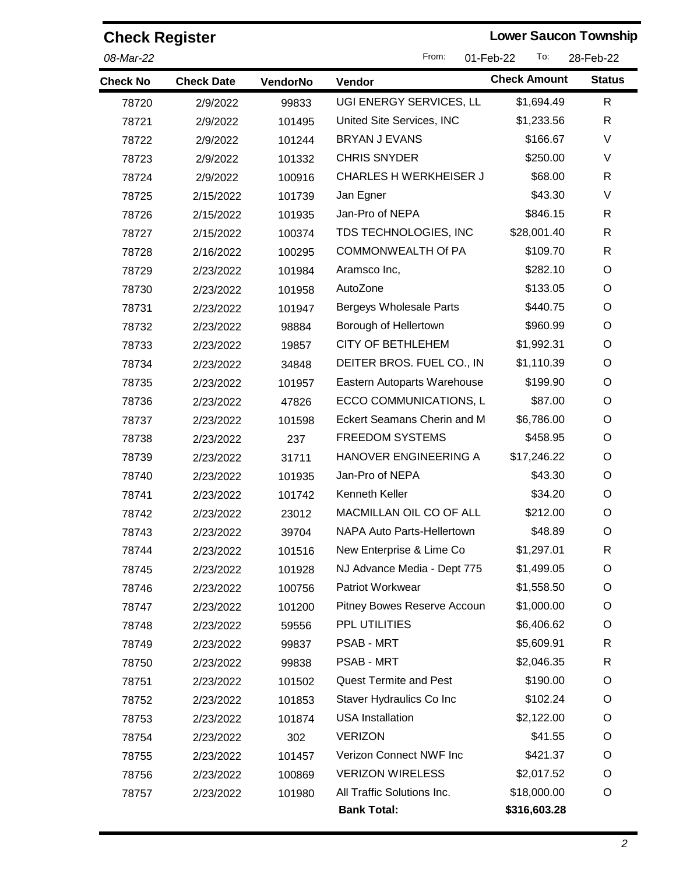| <b>Check Register</b> |                   |          |                                | <b>Lower Saucon Township</b> |               |
|-----------------------|-------------------|----------|--------------------------------|------------------------------|---------------|
| 08-Mar-22             |                   |          | From:                          | 01-Feb-22<br>To:             | 28-Feb-22     |
| <b>Check No</b>       | <b>Check Date</b> | VendorNo | Vendor                         | <b>Check Amount</b>          | <b>Status</b> |
| 78720                 | 2/9/2022          | 99833    | UGI ENERGY SERVICES, LL        | \$1,694.49                   | R             |
| 78721                 | 2/9/2022          | 101495   | United Site Services, INC      | \$1,233.56                   | $\mathsf{R}$  |
| 78722                 | 2/9/2022          | 101244   | <b>BRYAN J EVANS</b>           | \$166.67                     | V             |
| 78723                 | 2/9/2022          | 101332   | <b>CHRIS SNYDER</b>            | \$250.00                     | V             |
| 78724                 | 2/9/2022          | 100916   | <b>CHARLES H WERKHEISER J</b>  | \$68.00                      | $\mathsf{R}$  |
| 78725                 | 2/15/2022         | 101739   | Jan Egner                      | \$43.30                      | V             |
| 78726                 | 2/15/2022         | 101935   | Jan-Pro of NEPA                | \$846.15                     | R             |
| 78727                 | 2/15/2022         | 100374   | TDS TECHNOLOGIES, INC          | \$28,001.40                  | R             |
| 78728                 | 2/16/2022         | 100295   | <b>COMMONWEALTH Of PA</b>      | \$109.70                     | R             |
| 78729                 | 2/23/2022         | 101984   | Aramsco Inc,                   | \$282.10                     | O             |
| 78730                 | 2/23/2022         | 101958   | AutoZone                       | \$133.05                     | O             |
| 78731                 | 2/23/2022         | 101947   | <b>Bergeys Wholesale Parts</b> | \$440.75                     | O             |
| 78732                 | 2/23/2022         | 98884    | Borough of Hellertown          | \$960.99                     | O             |
| 78733                 | 2/23/2022         | 19857    | <b>CITY OF BETHLEHEM</b>       | \$1,992.31                   | O             |
| 78734                 | 2/23/2022         | 34848    | DEITER BROS. FUEL CO., IN      | \$1,110.39                   | O             |
| 78735                 | 2/23/2022         | 101957   | Eastern Autoparts Warehouse    | \$199.90                     | O             |
| 78736                 | 2/23/2022         | 47826    | ECCO COMMUNICATIONS, L         | \$87.00                      | O             |
| 78737                 | 2/23/2022         | 101598   | Eckert Seamans Cherin and M    | \$6,786.00                   | O             |
| 78738                 | 2/23/2022         | 237      | <b>FREEDOM SYSTEMS</b>         | \$458.95                     | O             |
| 78739                 | 2/23/2022         | 31711    | HANOVER ENGINEERING A          | \$17,246.22                  | O             |
| 78740                 | 2/23/2022         | 101935   | Jan-Pro of NEPA                | \$43.30                      | O             |
| 78741                 | 2/23/2022         | 101742   | Kenneth Keller                 | \$34.20                      | O             |
| 78742                 | 2/23/2022         | 23012    | MACMILLAN OIL CO OF ALL        | \$212.00                     | O             |
| 78743                 | 2/23/2022         | 39704    | NAPA Auto Parts-Hellertown     | \$48.89                      | O             |
| 78744                 | 2/23/2022         | 101516   | New Enterprise & Lime Co       | \$1,297.01                   | R             |
| 78745                 | 2/23/2022         | 101928   | NJ Advance Media - Dept 775    | \$1,499.05                   | O             |
| 78746                 | 2/23/2022         | 100756   | Patriot Workwear               | \$1,558.50                   | O             |
| 78747                 | 2/23/2022         | 101200   | Pitney Bowes Reserve Accoun    | \$1,000.00                   | O             |
| 78748                 | 2/23/2022         | 59556    | <b>PPL UTILITIES</b>           | \$6,406.62                   | O             |
| 78749                 | 2/23/2022         | 99837    | <b>PSAB - MRT</b>              | \$5,609.91                   | R             |
| 78750                 | 2/23/2022         | 99838    | <b>PSAB - MRT</b>              | \$2,046.35                   | R             |
| 78751                 | 2/23/2022         | 101502   | <b>Quest Termite and Pest</b>  | \$190.00                     | O             |
| 78752                 | 2/23/2022         | 101853   | Staver Hydraulics Co Inc       | \$102.24                     | O             |
| 78753                 | 2/23/2022         | 101874   | <b>USA Installation</b>        | \$2,122.00                   | O             |
| 78754                 | 2/23/2022         | 302      | <b>VERIZON</b>                 | \$41.55                      | O             |
| 78755                 | 2/23/2022         | 101457   | Verizon Connect NWF Inc        | \$421.37                     | O             |
| 78756                 | 2/23/2022         | 100869   | <b>VERIZON WIRELESS</b>        | \$2,017.52                   | O             |
| 78757                 | 2/23/2022         | 101980   | All Traffic Solutions Inc.     | \$18,000.00                  | O             |
|                       |                   |          | <b>Bank Total:</b>             | \$316,603.28                 |               |